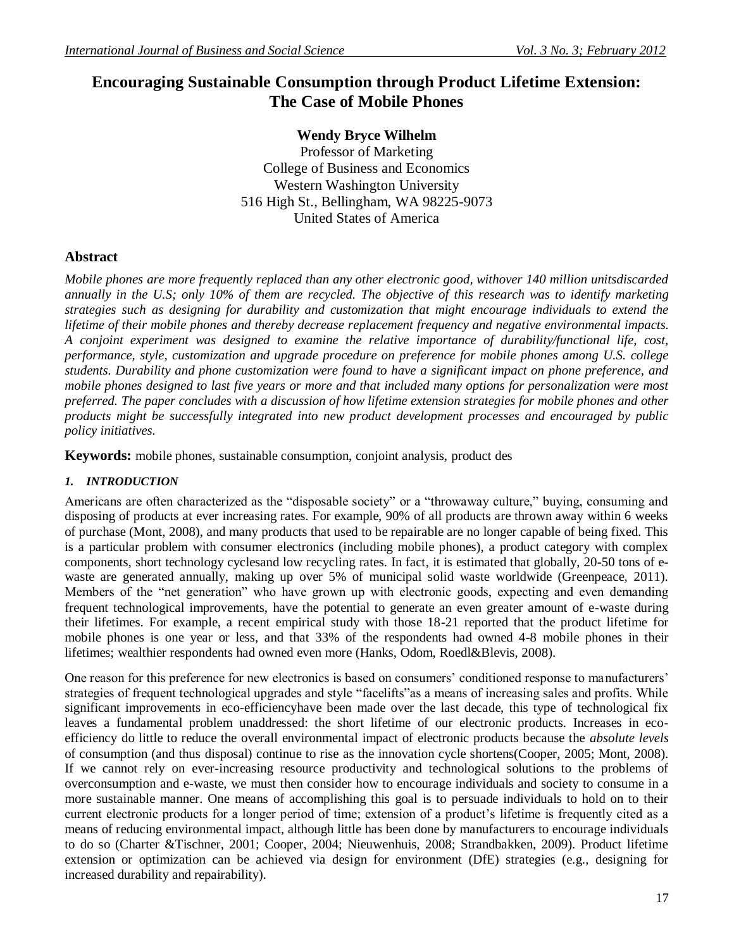# **Encouraging Sustainable Consumption through Product Lifetime Extension: The Case of Mobile Phones**

**Wendy Bryce Wilhelm** Professor of Marketing College of Business and Economics Western Washington University 516 High St., Bellingham, WA 98225-9073 United States of America

## **Abstract**

*Mobile phones are more frequently replaced than any other electronic good, withover 140 million unitsdiscarded annually in the U.S; only 10% of them are recycled. The objective of this research was to identify marketing strategies such as designing for durability and customization that might encourage individuals to extend the lifetime of their mobile phones and thereby decrease replacement frequency and negative environmental impacts. A conjoint experiment was designed to examine the relative importance of durability/functional life, cost, performance, style, customization and upgrade procedure on preference for mobile phones among U.S. college students. Durability and phone customization were found to have a significant impact on phone preference, and mobile phones designed to last five years or more and that included many options for personalization were most preferred. The paper concludes with a discussion of how lifetime extension strategies for mobile phones and other products might be successfully integrated into new product development processes and encouraged by public policy initiatives.*

**Keywords:** mobile phones, sustainable consumption, conjoint analysis, product des

## *1. INTRODUCTION*

Americans are often characterized as the "disposable society" or a "throwaway culture," buying, consuming and disposing of products at ever increasing rates. For example, 90% of all products are thrown away within 6 weeks of purchase (Mont, 2008), and many products that used to be repairable are no longer capable of being fixed. This is a particular problem with consumer electronics (including mobile phones), a product category with complex components, short technology cyclesand low recycling rates. In fact, it is estimated that globally, 20-50 tons of ewaste are generated annually, making up over 5% of municipal solid waste worldwide (Greenpeace, 2011). Members of the "net generation" who have grown up with electronic goods, expecting and even demanding frequent technological improvements, have the potential to generate an even greater amount of e-waste during their lifetimes. For example, a recent empirical study with those 18-21 reported that the product lifetime for mobile phones is one year or less, and that 33% of the respondents had owned 4-8 mobile phones in their lifetimes; wealthier respondents had owned even more (Hanks, Odom, Roedl&Blevis, 2008).

One reason for this preference for new electronics is based on consumers' conditioned response to manufacturers' strategies of frequent technological upgrades and style "facelifts"as a means of increasing sales and profits. While significant improvements in eco-efficiencyhave been made over the last decade, this type of technological fix leaves a fundamental problem unaddressed: the short lifetime of our electronic products. Increases in ecoefficiency do little to reduce the overall environmental impact of electronic products because the *absolute levels* of consumption (and thus disposal) continue to rise as the innovation cycle shortens(Cooper, 2005; Mont, 2008). If we cannot rely on ever-increasing resource productivity and technological solutions to the problems of overconsumption and e-waste, we must then consider how to encourage individuals and society to consume in a more sustainable manner. One means of accomplishing this goal is to persuade individuals to hold on to their current electronic products for a longer period of time; extension of a product's lifetime is frequently cited as a means of reducing environmental impact, although little has been done by manufacturers to encourage individuals to do so (Charter &Tischner, 2001; Cooper, 2004; Nieuwenhuis, 2008; Strandbakken, 2009). Product lifetime extension or optimization can be achieved via design for environment (DfE) strategies (e.g., designing for increased durability and repairability).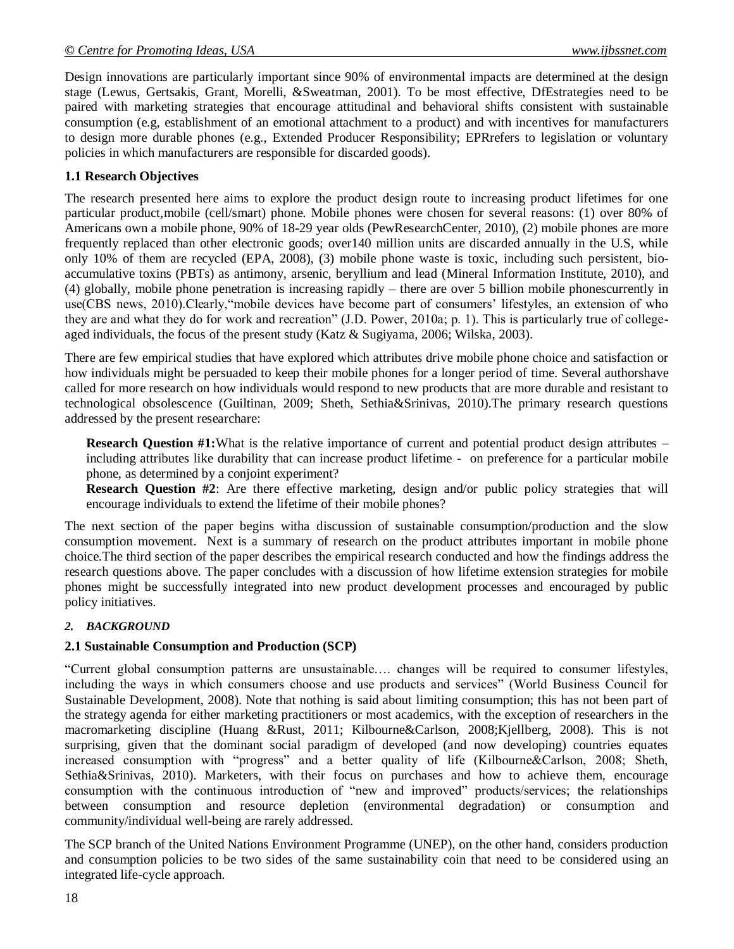Design innovations are particularly important since 90% of environmental impacts are determined at the design stage (Lewus, Gertsakis, Grant, Morelli, &Sweatman, 2001). To be most effective, DfEstrategies need to be paired with marketing strategies that encourage attitudinal and behavioral shifts consistent with sustainable consumption (e.g, establishment of an emotional attachment to a product) and with incentives for manufacturers to design more durable phones (e.g., Extended Producer Responsibility; EPRrefers to legislation or voluntary policies in which manufacturers are responsible for discarded goods).

## **1.1 Research Objectives**

The research presented here aims to explore the product design route to increasing product lifetimes for one particular product,mobile (cell/smart) phone. Mobile phones were chosen for several reasons: (1) over 80% of Americans own a mobile phone, 90% of 18-29 year olds (PewResearchCenter, 2010), (2) mobile phones are more frequently replaced than other electronic goods; over140 million units are discarded annually in the U.S, while only 10% of them are recycled (EPA, 2008), (3) mobile phone waste is toxic, including such persistent, bioaccumulative toxins (PBTs) as antimony, arsenic, beryllium and lead (Mineral Information Institute, 2010), and (4) globally, mobile phone penetration is increasing rapidly – there are over 5 billion mobile phonescurrently in use(CBS news, 2010).Clearly,"mobile devices have become part of consumers' lifestyles, an extension of who they are and what they do for work and recreation" (J.D. Power, 2010a; p. 1). This is particularly true of collegeaged individuals, the focus of the present study (Katz & Sugiyama, 2006; Wilska, 2003).

There are few empirical studies that have explored which attributes drive mobile phone choice and satisfaction or how individuals might be persuaded to keep their mobile phones for a longer period of time. Several authorshave called for more research on how individuals would respond to new products that are more durable and resistant to technological obsolescence (Guiltinan, 2009; Sheth, Sethia&Srinivas, 2010).The primary research questions addressed by the present researchare:

**Research Question #1:**What is the relative importance of current and potential product design attributes – including attributes like durability that can increase product lifetime - on preference for a particular mobile phone, as determined by a conjoint experiment?

**Research Question #2**: Are there effective marketing, design and/or public policy strategies that will encourage individuals to extend the lifetime of their mobile phones?

The next section of the paper begins witha discussion of sustainable consumption/production and the slow consumption movement. Next is a summary of research on the product attributes important in mobile phone choice.The third section of the paper describes the empirical research conducted and how the findings address the research questions above. The paper concludes with a discussion of how lifetime extension strategies for mobile phones might be successfully integrated into new product development processes and encouraged by public policy initiatives.

## *2. BACKGROUND*

#### **2.1 Sustainable Consumption and Production (SCP)**

"Current global consumption patterns are unsustainable…. changes will be required to consumer lifestyles, including the ways in which consumers choose and use products and services" (World Business Council for Sustainable Development, 2008). Note that nothing is said about limiting consumption; this has not been part of the strategy agenda for either marketing practitioners or most academics, with the exception of researchers in the macromarketing discipline (Huang &Rust, 2011; Kilbourne&Carlson, 2008;Kjellberg, 2008). This is not surprising, given that the dominant social paradigm of developed (and now developing) countries equates increased consumption with "progress" and a better quality of life (Kilbourne&Carlson, 2008; Sheth, Sethia&Srinivas, 2010). Marketers, with their focus on purchases and how to achieve them, encourage consumption with the continuous introduction of "new and improved" products/services; the relationships between consumption and resource depletion (environmental degradation) or consumption and community/individual well-being are rarely addressed.

The SCP branch of the United Nations Environment Programme (UNEP), on the other hand, considers production and consumption policies to be two sides of the same sustainability coin that need to be considered using an integrated life-cycle approach.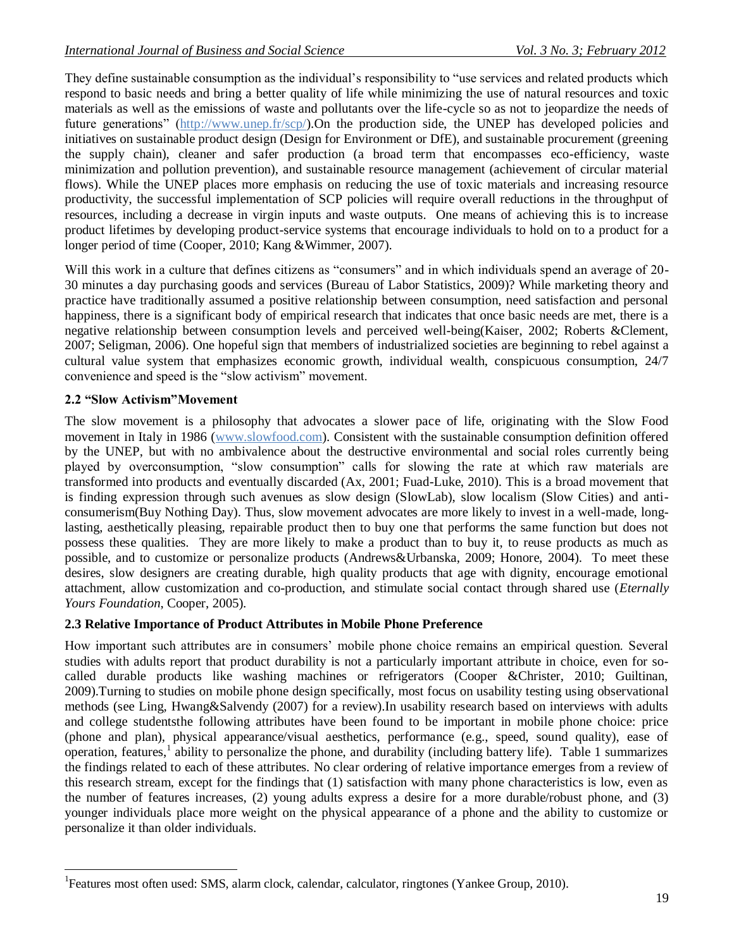They define sustainable consumption as the individual's responsibility to "use services and related products which respond to basic needs and bring a better quality of life while minimizing the use of natural resources and toxic materials as well as the emissions of waste and pollutants over the life-cycle so as not to jeopardize the needs of future generations" (http:/[/www.unep.fr/scp/\)](http://www.unep.fr/scp/).On the production side, the UNEP has developed policies and initiatives on sustainable product design (Design for Environment or DfE), and sustainable procurement (greening the supply chain), cleaner and safer production (a broad term that encompasses eco-efficiency, waste minimization and pollution prevention), and sustainable resource management (achievement of circular material flows). While the UNEP places more emphasis on reducing the use of toxic materials and increasing resource productivity, the successful implementation of SCP policies will require overall reductions in the throughput of resources, including a decrease in virgin inputs and waste outputs. One means of achieving this is to increase product lifetimes by developing product-service systems that encourage individuals to hold on to a product for a longer period of time (Cooper, 2010; Kang &Wimmer, 2007).

Will this work in a culture that defines citizens as "consumers" and in which individuals spend an average of 20-30 minutes a day purchasing goods and services (Bureau of Labor Statistics, 2009)? While marketing theory and practice have traditionally assumed a positive relationship between consumption, need satisfaction and personal happiness, there is a significant body of empirical research that indicates that once basic needs are met, there is a negative relationship between consumption levels and perceived well-being(Kaiser, 2002; Roberts &Clement, 2007; Seligman, 2006). One hopeful sign that members of industrialized societies are beginning to rebel against a cultural value system that emphasizes economic growth, individual wealth, conspicuous consumption, 24/7 convenience and speed is the "slow activism" movement.

## **2.2 "Slow Activism"Movement**

 $\overline{\phantom{a}}$ 

The slow movement is a philosophy that advocates a slower pace of life, originating with the Slow Food movement in Italy in 1986 [\(www.slowfood.com\)](http://www.slowfood.com/). Consistent with the sustainable consumption definition offered by the UNEP, but with no ambivalence about the destructive environmental and social roles currently being played by overconsumption, "slow consumption" calls for slowing the rate at which raw materials are transformed into products and eventually discarded (Ax, 2001; Fuad-Luke, 2010). This is a broad movement that is finding expression through such avenues as slow design (SlowLab), slow localism (Slow Cities) and anticonsumerism(Buy Nothing Day). Thus, slow movement advocates are more likely to invest in a well-made, longlasting, aesthetically pleasing, repairable product then to buy one that performs the same function but does not possess these qualities. They are more likely to make a product than to buy it, to reuse products as much as possible, and to customize or personalize products (Andrews&Urbanska, 2009; Honore, 2004). To meet these desires, slow designers are creating durable, high quality products that age with dignity, encourage emotional attachment, allow customization and co-production, and stimulate social contact through shared use (*Eternally Yours Foundation*, Cooper, 2005).

## **2.3 Relative Importance of Product Attributes in Mobile Phone Preference**

How important such attributes are in consumers' mobile phone choice remains an empirical question. Several studies with adults report that product durability is not a particularly important attribute in choice, even for socalled durable products like washing machines or refrigerators (Cooper &Christer, 2010; Guiltinan, 2009).Turning to studies on mobile phone design specifically, most focus on usability testing using observational methods (see Ling, Hwang&Salvendy (2007) for a review).In usability research based on interviews with adults and college studentsthe following attributes have been found to be important in mobile phone choice: price (phone and plan), physical appearance/visual aesthetics, performance (e.g., speed, sound quality), ease of operation, features,  $1$  ability to personalize the phone, and durability (including battery life). Table 1 summarizes the findings related to each of these attributes. No clear ordering of relative importance emerges from a review of this research stream, except for the findings that (1) satisfaction with many phone characteristics is low, even as the number of features increases, (2) young adults express a desire for a more durable/robust phone, and (3) younger individuals place more weight on the physical appearance of a phone and the ability to customize or personalize it than older individuals.

<sup>&</sup>lt;sup>1</sup>Features most often used: SMS, alarm clock, calendar, calculator, ringtones (Yankee Group, 2010).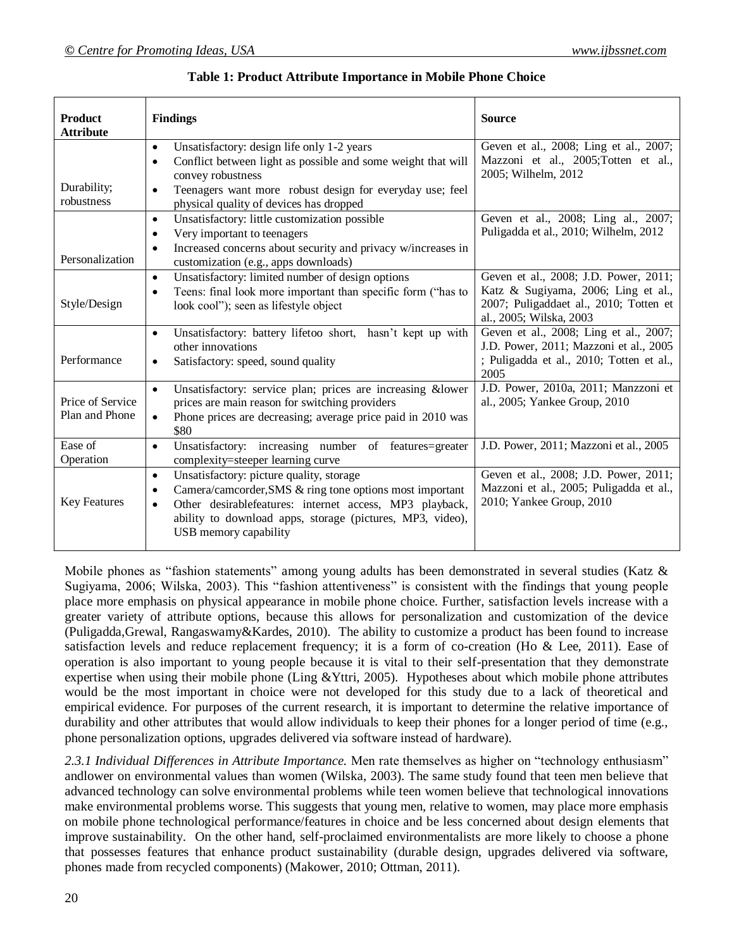| <b>Product</b><br><b>Attribute</b> | <b>Findings</b>                                                                                                                                                                                                                                                                      | <b>Source</b>                                                                                                                                     |
|------------------------------------|--------------------------------------------------------------------------------------------------------------------------------------------------------------------------------------------------------------------------------------------------------------------------------------|---------------------------------------------------------------------------------------------------------------------------------------------------|
| Durability;<br>robustness          | Unsatisfactory: design life only 1-2 years<br>$\bullet$<br>Conflict between light as possible and some weight that will<br>$\bullet$<br>convey robustness<br>Teenagers want more robust design for everyday use; feel<br>$\bullet$<br>physical quality of devices has dropped        | Geven et al., 2008; Ling et al., 2007;<br>Mazzoni et al., 2005; Totten et al.,<br>2005; Wilhelm, 2012                                             |
| Personalization                    | Unsatisfactory: little customization possible<br>$\bullet$<br>Very important to teenagers<br>٠<br>Increased concerns about security and privacy w/increases in<br>$\bullet$<br>customization (e.g., apps downloads)                                                                  | Geven et al., 2008; Ling al., 2007;<br>Puligadda et al., 2010; Wilhelm, 2012                                                                      |
| Style/Design                       | Unsatisfactory: limited number of design options<br>$\bullet$<br>Teens: final look more important than specific form ("has to<br>٠<br>look cool"); seen as lifestyle object                                                                                                          | Geven et al., 2008; J.D. Power, 2011;<br>Katz & Sugiyama, 2006; Ling et al.,<br>2007; Puligaddaet al., 2010; Totten et<br>al., 2005; Wilska, 2003 |
| Performance                        | Unsatisfactory: battery lifetoo short, hasn't kept up with<br>$\bullet$<br>other innovations<br>Satisfactory: speed, sound quality<br>٠                                                                                                                                              | Geven et al., 2008; Ling et al., 2007;<br>J.D. Power, 2011; Mazzoni et al., 2005<br>; Puligadda et al., 2010; Totten et al.,<br>2005              |
| Price of Service<br>Plan and Phone | Unsatisfactory: service plan; prices are increasing &lower<br>$\bullet$<br>prices are main reason for switching providers<br>Phone prices are decreasing; average price paid in 2010 was<br>$\bullet$<br>\$80                                                                        | J.D. Power, 2010a, 2011; Manzzoni et<br>al., 2005; Yankee Group, 2010                                                                             |
| Ease of<br>Operation               | Unsatisfactory: increasing number of features=greater<br>$\bullet$<br>complexity=steeper learning curve                                                                                                                                                                              | J.D. Power, 2011; Mazzoni et al., 2005                                                                                                            |
| <b>Key Features</b>                | Unsatisfactory: picture quality, storage<br>$\bullet$<br>Camera/camcorder, SMS & ring tone options most important<br>٠<br>Other desirablefeatures: internet access, MP3 playback,<br>$\bullet$<br>ability to download apps, storage (pictures, MP3, video),<br>USB memory capability | Geven et al., 2008; J.D. Power, 2011;<br>Mazzoni et al., 2005; Puligadda et al.,<br>2010; Yankee Group, 2010                                      |

#### **Table 1: Product Attribute Importance in Mobile Phone Choice**

Mobile phones as "fashion statements" among young adults has been demonstrated in several studies (Katz & Sugiyama, 2006; Wilska, 2003). This "fashion attentiveness" is consistent with the findings that young people place more emphasis on physical appearance in mobile phone choice. Further, satisfaction levels increase with a greater variety of attribute options, because this allows for personalization and customization of the device (Puligadda,Grewal, Rangaswamy&Kardes, 2010). The ability to customize a product has been found to increase satisfaction levels and reduce replacement frequency; it is a form of co-creation (Ho & Lee, 2011). Ease of operation is also important to young people because it is vital to their self-presentation that they demonstrate expertise when using their mobile phone (Ling &Yttri, 2005). Hypotheses about which mobile phone attributes would be the most important in choice were not developed for this study due to a lack of theoretical and empirical evidence. For purposes of the current research, it is important to determine the relative importance of durability and other attributes that would allow individuals to keep their phones for a longer period of time (e.g., phone personalization options, upgrades delivered via software instead of hardware).

*2.3.1 Individual Differences in Attribute Importance.* Men rate themselves as higher on "technology enthusiasm" andlower on environmental values than women (Wilska, 2003). The same study found that teen men believe that advanced technology can solve environmental problems while teen women believe that technological innovations make environmental problems worse. This suggests that young men, relative to women, may place more emphasis on mobile phone technological performance/features in choice and be less concerned about design elements that improve sustainability. On the other hand, self-proclaimed environmentalists are more likely to choose a phone that possesses features that enhance product sustainability (durable design, upgrades delivered via software, phones made from recycled components) (Makower, 2010; Ottman, 2011).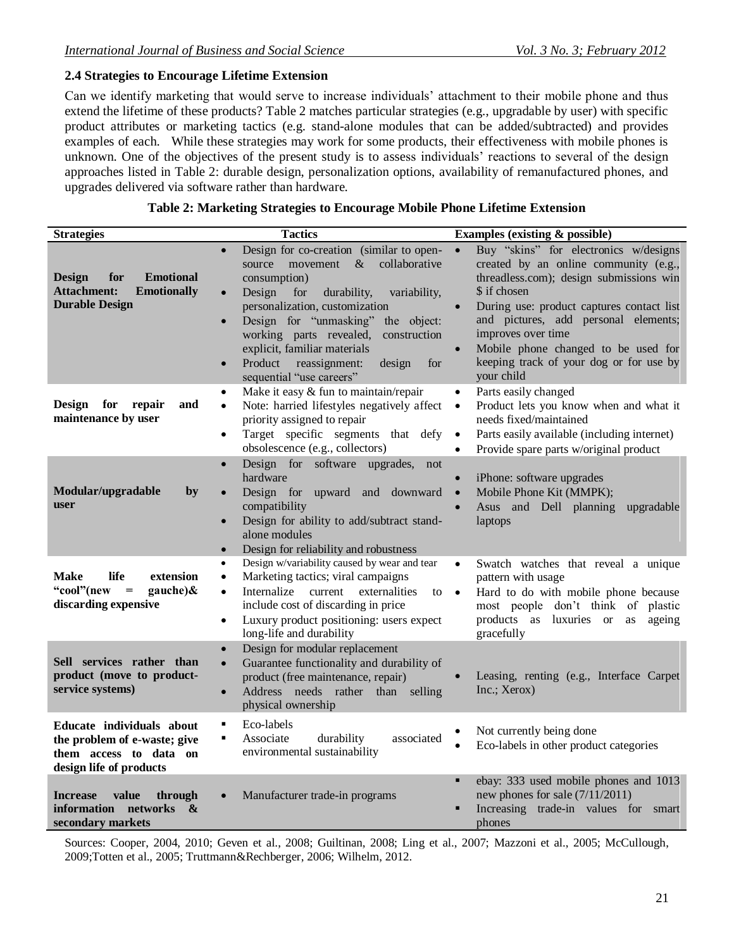## **2.4 Strategies to Encourage Lifetime Extension**

Can we identify marketing that would serve to increase individuals' attachment to their mobile phone and thus extend the lifetime of these products? Table 2 matches particular strategies (e.g., upgradable by user) with specific product attributes or marketing tactics (e.g. stand-alone modules that can be added/subtracted) and provides examples of each. While these strategies may work for some products, their effectiveness with mobile phones is unknown. One of the objectives of the present study is to assess individuals' reactions to several of the design approaches listed in Table 2: durable design, personalization options, availability of remanufactured phones, and upgrades delivered via software rather than hardware.

| Table 2: Marketing Strategies to Encourage Mobile Phone Lifetime Extension |  |  |  |
|----------------------------------------------------------------------------|--|--|--|
|                                                                            |  |  |  |

| <b>Strategies</b>                                                                                                           | <b>Tactics</b>                                                                                                                                                                                                                                                                                                                                                                                                   | <b>Examples (existing &amp; possible)</b>                                                                                                                                                                                                                                                                                                                                      |
|-----------------------------------------------------------------------------------------------------------------------------|------------------------------------------------------------------------------------------------------------------------------------------------------------------------------------------------------------------------------------------------------------------------------------------------------------------------------------------------------------------------------------------------------------------|--------------------------------------------------------------------------------------------------------------------------------------------------------------------------------------------------------------------------------------------------------------------------------------------------------------------------------------------------------------------------------|
| <b>Emotional</b><br><b>Design</b><br>for<br><b>Attachment:</b><br><b>Emotionally</b><br><b>Durable Design</b>               | Design for co-creation (similar to open-<br>$\&$<br>collaborative<br>source<br>movement<br>consumption)<br>Design<br>for<br>durability,<br>variability,<br>$\bullet$<br>personalization, customization<br>Design for "unmasking"<br>the object:<br>$\bullet$<br>working parts revealed,<br>construction<br>explicit, familiar materials<br>Product<br>reassignment:<br>design<br>for<br>sequential "use careers" | Buy "skins" for electronics w/designs<br>$\bullet$<br>created by an online community (e.g.,<br>threadless.com); design submissions win<br>\$ if chosen<br>During use: product captures contact list<br>and pictures, add personal elements;<br>improves over time<br>Mobile phone changed to be used for<br>$\bullet$<br>keeping track of your dog or for use by<br>your child |
| <b>Design</b><br>for<br>repair<br>and<br>maintenance by user                                                                | Make it easy & fun to maintain/repair<br>$\bullet$<br>Note: harried lifestyles negatively affect<br>$\bullet$<br>priority assigned to repair<br>Target specific segments that defy<br>$\bullet$<br>obsolescence (e.g., collectors)                                                                                                                                                                               | Parts easily changed<br>$\bullet$<br>Product lets you know when and what it<br>$\bullet$<br>needs fixed/maintained<br>Parts easily available (including internet)<br>$\bullet$<br>Provide spare parts w/original product<br>$\bullet$                                                                                                                                          |
| Modular/upgradable<br>by<br>user                                                                                            | Design for software upgrades,<br>not<br>$\bullet$<br>hardware<br>Design for upward and downward<br>compatibility<br>Design for ability to add/subtract stand-<br>$\bullet$<br>alone modules<br>Design for reliability and robustness                                                                                                                                                                             | iPhone: software upgrades<br>$\bullet$<br>Mobile Phone Kit (MMPK);<br>$\bullet$<br>Asus and Dell planning<br>$\bullet$<br>upgradable<br>laptops                                                                                                                                                                                                                                |
| life<br>extension<br><b>Make</b><br>"cool"(new<br>gauche) $\&$<br>$\hspace{1.6cm} = \hspace{1.6cm}$<br>discarding expensive | Design w/variability caused by wear and tear<br>$\bullet$<br>Marketing tactics; viral campaigns<br>$\bullet$<br>Internalize<br>current<br>externalities<br>$\bullet$<br>$\mathfrak{g}$ to $\bullet$<br>include cost of discarding in price<br>Luxury product positioning: users expect<br>$\bullet$<br>long-life and durability                                                                                  | Swatch watches that reveal a unique<br>$\bullet$<br>pattern with usage<br>Hard to do with mobile phone because<br>most people don't think of plastic<br>products as luxuries or<br>as<br>ageing<br>gracefully                                                                                                                                                                  |
| Sell services rather than<br>product (move to product-<br>service systems)                                                  | Design for modular replacement<br>$\bullet$<br>Guarantee functionality and durability of<br>$\bullet$<br>product (free maintenance, repair)<br>Address needs rather than selling<br>$\bullet$<br>physical ownership                                                                                                                                                                                              | Leasing, renting (e.g., Interface Carpet<br>Inc.; Xerox)                                                                                                                                                                                                                                                                                                                       |
| Educate individuals about<br>the problem of e-waste; give<br>them access to data on<br>design life of products              | Eco-labels<br>٠<br>Associate<br>durability<br>associated<br>$\blacksquare$<br>environmental sustainability                                                                                                                                                                                                                                                                                                       | Not currently being done<br>Eco-labels in other product categories                                                                                                                                                                                                                                                                                                             |
| <b>Increase</b><br>value<br>through<br>information<br>networks<br>&<br>secondary markets                                    | Manufacturer trade-in programs                                                                                                                                                                                                                                                                                                                                                                                   | ebay: 333 used mobile phones and 1013<br>$\blacksquare$<br>new phones for sale $(7/11/2011)$<br>Increasing trade-in values for<br>smart<br>phones                                                                                                                                                                                                                              |

Sources: Cooper, 2004, 2010; Geven et al., 2008; Guiltinan, 2008; Ling et al., 2007; Mazzoni et al., 2005; McCullough, 2009;Totten et al., 2005; Truttmann&Rechberger, 2006; Wilhelm, 2012.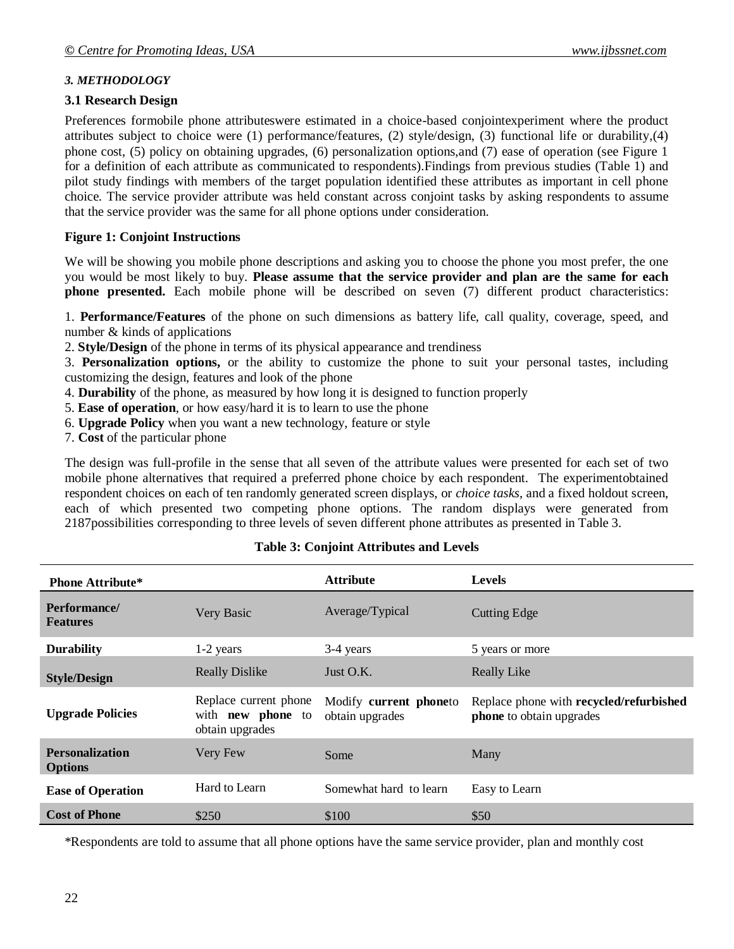## *3. METHODOLOGY*

## **3.1 Research Design**

Preferences formobile phone attributeswere estimated in a choice-based conjointexperiment where the product attributes subject to choice were (1) performance/features, (2) style/design, (3) functional life or durability,(4) phone cost, (5) policy on obtaining upgrades, (6) personalization options,and (7) ease of operation (see Figure 1 for a definition of each attribute as communicated to respondents).Findings from previous studies (Table 1) and pilot study findings with members of the target population identified these attributes as important in cell phone choice. The service provider attribute was held constant across conjoint tasks by asking respondents to assume that the service provider was the same for all phone options under consideration.

## **Figure 1: Conjoint Instructions**

We will be showing you mobile phone descriptions and asking you to choose the phone you most prefer, the one you would be most likely to buy. **Please assume that the service provider and plan are the same for each phone presented.** Each mobile phone will be described on seven (7) different product characteristics:

1. **Performance/Features** of the phone on such dimensions as battery life, call quality, coverage, speed, and number & kinds of applications

2. **Style/Design** of the phone in terms of its physical appearance and trendiness

3. **Personalization options,** or the ability to customize the phone to suit your personal tastes, including customizing the design, features and look of the phone

- 4. **Durability** of the phone, as measured by how long it is designed to function properly
- 5. **Ease of operation**, or how easy/hard it is to learn to use the phone
- 6. **Upgrade Policy** when you want a new technology, feature or style
- 7. **Cost** of the particular phone

The design was full-profile in the sense that all seven of the attribute values were presented for each set of two mobile phone alternatives that required a preferred phone choice by each respondent. The experimentobtained respondent choices on each of ten randomly generated screen displays, or *choice tasks*, and a fixed holdout screen, each of which presented two competing phone options. The random displays were generated from 2187possibilities corresponding to three levels of seven different phone attributes as presented in Table 3.

| <b>Phone Attribute*</b>                  |                                                                      | <b>Attribute</b>                          | <b>Levels</b>                                                       |
|------------------------------------------|----------------------------------------------------------------------|-------------------------------------------|---------------------------------------------------------------------|
| Performance/<br><b>Features</b>          | Very Basic                                                           | Average/Typical                           | <b>Cutting Edge</b>                                                 |
| <b>Durability</b>                        | 1-2 years                                                            | 3-4 years                                 | 5 years or more                                                     |
| <b>Style/Design</b>                      | <b>Really Dislike</b>                                                | Just $O.K.$                               | <b>Really Like</b>                                                  |
| <b>Upgrade Policies</b>                  | Replace current phone<br>with <b>new phone</b> to<br>obtain upgrades | Modify current phoneto<br>obtain upgrades | Replace phone with recycled/refurbished<br>phone to obtain upgrades |
| <b>Personalization</b><br><b>Options</b> | Very Few                                                             | Some                                      | Many                                                                |
| <b>Ease of Operation</b>                 | Hard to Learn                                                        | Somewhat hard to learn                    | Easy to Learn                                                       |
| <b>Cost of Phone</b>                     | \$250                                                                | \$100                                     | \$50                                                                |

## **Table 3: Conjoint Attributes and Levels**

\*Respondents are told to assume that all phone options have the same service provider, plan and monthly cost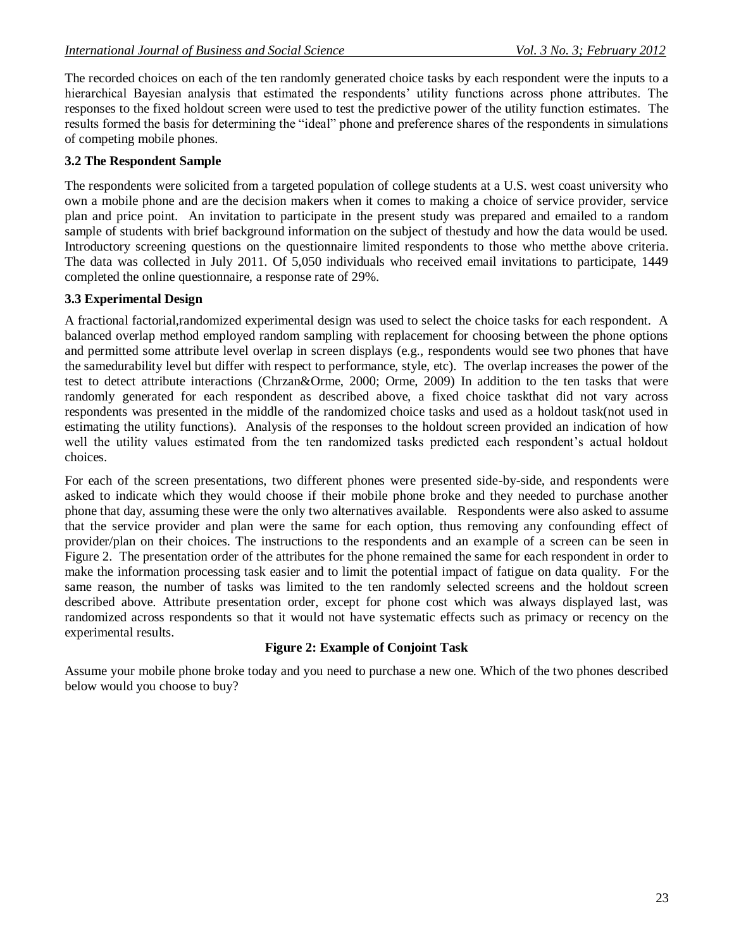The recorded choices on each of the ten randomly generated choice tasks by each respondent were the inputs to a hierarchical Bayesian analysis that estimated the respondents' utility functions across phone attributes. The responses to the fixed holdout screen were used to test the predictive power of the utility function estimates. The results formed the basis for determining the "ideal" phone and preference shares of the respondents in simulations of competing mobile phones.

## **3.2 The Respondent Sample**

The respondents were solicited from a targeted population of college students at a U.S. west coast university who own a mobile phone and are the decision makers when it comes to making a choice of service provider, service plan and price point. An invitation to participate in the present study was prepared and emailed to a random sample of students with brief background information on the subject of thestudy and how the data would be used. Introductory screening questions on the questionnaire limited respondents to those who metthe above criteria. The data was collected in July 2011. Of 5,050 individuals who received email invitations to participate, 1449 completed the online questionnaire, a response rate of 29%.

#### **3.3 Experimental Design**

A fractional factorial,randomized experimental design was used to select the choice tasks for each respondent. A balanced overlap method employed random sampling with replacement for choosing between the phone options and permitted some attribute level overlap in screen displays (e.g., respondents would see two phones that have the samedurability level but differ with respect to performance, style, etc). The overlap increases the power of the test to detect attribute interactions (Chrzan&Orme, 2000; Orme, 2009) In addition to the ten tasks that were randomly generated for each respondent as described above, a fixed choice taskthat did not vary across respondents was presented in the middle of the randomized choice tasks and used as a holdout task(not used in estimating the utility functions). Analysis of the responses to the holdout screen provided an indication of how well the utility values estimated from the ten randomized tasks predicted each respondent's actual holdout choices.

For each of the screen presentations, two different phones were presented side-by-side, and respondents were asked to indicate which they would choose if their mobile phone broke and they needed to purchase another phone that day, assuming these were the only two alternatives available. Respondents were also asked to assume that the service provider and plan were the same for each option, thus removing any confounding effect of provider/plan on their choices. The instructions to the respondents and an example of a screen can be seen in Figure 2. The presentation order of the attributes for the phone remained the same for each respondent in order to make the information processing task easier and to limit the potential impact of fatigue on data quality. For the same reason, the number of tasks was limited to the ten randomly selected screens and the holdout screen described above. Attribute presentation order, except for phone cost which was always displayed last, was randomized across respondents so that it would not have systematic effects such as primacy or recency on the experimental results.

#### **Figure 2: Example of Conjoint Task**

Assume your mobile phone broke today and you need to purchase a new one. Which of the two phones described below would you choose to buy?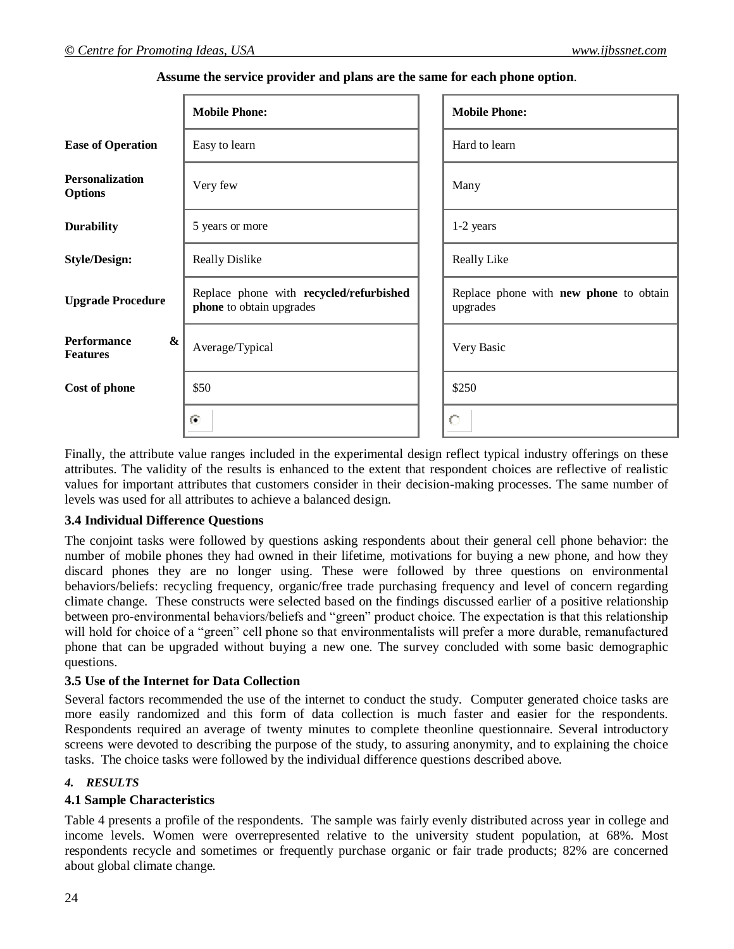|                                                            | <b>Mobile Phone:</b>                                                | <b>Mobile Phone:</b>                                      |
|------------------------------------------------------------|---------------------------------------------------------------------|-----------------------------------------------------------|
| <b>Ease of Operation</b>                                   | Easy to learn                                                       | Hard to learn                                             |
| <b>Personalization</b><br><b>Options</b>                   | Very few                                                            | Many                                                      |
| <b>Durability</b>                                          | 5 years or more                                                     | 1-2 years                                                 |
| <b>Style/Design:</b>                                       | <b>Really Dislike</b>                                               | Really Like                                               |
| <b>Upgrade Procedure</b>                                   | Replace phone with recycled/refurbished<br>phone to obtain upgrades | Replace phone with <b>new phone</b> to obtain<br>upgrades |
| <b>Performance</b><br>$\boldsymbol{\&}$<br><b>Features</b> | Average/Typical                                                     | Very Basic                                                |
| Cost of phone                                              | \$50                                                                | \$250                                                     |
|                                                            | $\odot$                                                             | $\circ$                                                   |
|                                                            |                                                                     |                                                           |

#### **Assume the service provider and plans are the same for each phone option**.

Finally, the attribute value ranges included in the experimental design reflect typical industry offerings on these attributes. The validity of the results is enhanced to the extent that respondent choices are reflective of realistic values for important attributes that customers consider in their decision-making processes. The same number of levels was used for all attributes to achieve a balanced design.

#### **3.4 Individual Difference Questions**

The conjoint tasks were followed by questions asking respondents about their general cell phone behavior: the number of mobile phones they had owned in their lifetime, motivations for buying a new phone, and how they discard phones they are no longer using. These were followed by three questions on environmental behaviors/beliefs: recycling frequency, organic/free trade purchasing frequency and level of concern regarding climate change. These constructs were selected based on the findings discussed earlier of a positive relationship between pro-environmental behaviors/beliefs and "green" product choice. The expectation is that this relationship will hold for choice of a "green" cell phone so that environmentalists will prefer a more durable, remanufactured phone that can be upgraded without buying a new one. The survey concluded with some basic demographic questions.

## **3.5 Use of the Internet for Data Collection**

Several factors recommended the use of the internet to conduct the study. Computer generated choice tasks are more easily randomized and this form of data collection is much faster and easier for the respondents. Respondents required an average of twenty minutes to complete theonline questionnaire. Several introductory screens were devoted to describing the purpose of the study, to assuring anonymity, and to explaining the choice tasks. The choice tasks were followed by the individual difference questions described above.

## *4. RESULTS*

## **4.1 Sample Characteristics**

Table 4 presents a profile of the respondents. The sample was fairly evenly distributed across year in college and income levels. Women were overrepresented relative to the university student population, at 68%. Most respondents recycle and sometimes or frequently purchase organic or fair trade products; 82% are concerned about global climate change.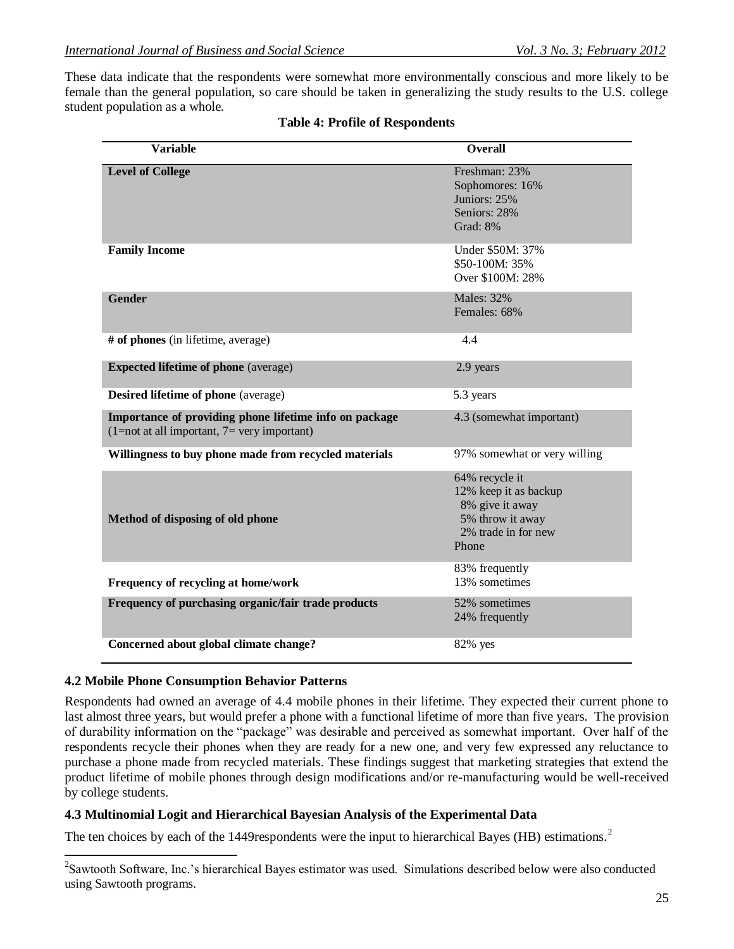These data indicate that the respondents were somewhat more environmentally conscious and more likely to be female than the general population, so care should be taken in generalizing the study results to the U.S. college student population as a whole.

| <b>Variable</b>                                                                                         | <b>Overall</b>                                                                                                 |
|---------------------------------------------------------------------------------------------------------|----------------------------------------------------------------------------------------------------------------|
| <b>Level of College</b>                                                                                 | Freshman: 23%<br>Sophomores: 16%<br>Juniors: 25%<br>Seniors: 28%<br>Grad: 8%                                   |
| <b>Family Income</b>                                                                                    | Under \$50M: 37%<br>\$50-100M: 35%<br>Over \$100M: 28%                                                         |
| <b>Gender</b>                                                                                           | <b>Males: 32%</b><br>Females: 68%                                                                              |
| # of phones (in lifetime, average)                                                                      | 4.4                                                                                                            |
| <b>Expected lifetime of phone</b> (average)                                                             | 2.9 years                                                                                                      |
| <b>Desired lifetime of phone</b> (average)                                                              | 5.3 years                                                                                                      |
| Importance of providing phone lifetime info on package<br>$(1=not at all important, 7= very important)$ | 4.3 (somewhat important)                                                                                       |
| Willingness to buy phone made from recycled materials                                                   | 97% somewhat or very willing                                                                                   |
| Method of disposing of old phone                                                                        | 64% recycle it<br>12% keep it as backup<br>8% give it away<br>5% throw it away<br>2% trade in for new<br>Phone |
| Frequency of recycling at home/work                                                                     | 83% frequently<br>13% sometimes                                                                                |
| Frequency of purchasing organic/fair trade products                                                     | 52% sometimes<br>24% frequently                                                                                |
| Concerned about global climate change?                                                                  | 82% yes                                                                                                        |

|  |  | <b>Table 4: Profile of Respondents</b> |
|--|--|----------------------------------------|
|--|--|----------------------------------------|

#### **4.2 Mobile Phone Consumption Behavior Patterns**

Respondents had owned an average of 4.4 mobile phones in their lifetime. They expected their current phone to last almost three years, but would prefer a phone with a functional lifetime of more than five years. The provision of durability information on the "package" was desirable and perceived as somewhat important. Over half of the respondents recycle their phones when they are ready for a new one, and very few expressed any reluctance to purchase a phone made from recycled materials. These findings suggest that marketing strategies that extend the product lifetime of mobile phones through design modifications and/or re-manufacturing would be well-received by college students.

#### **4.3 Multinomial Logit and Hierarchical Bayesian Analysis of the Experimental Data**

The ten choices by each of the 1449respondents were the input to hierarchical Bayes (HB) estimations.<sup>2</sup>

<sup>2</sup>Sawtooth Software, Inc.'s hierarchical Bayes estimator was used. Simulations described below were also conducted using Sawtooth programs.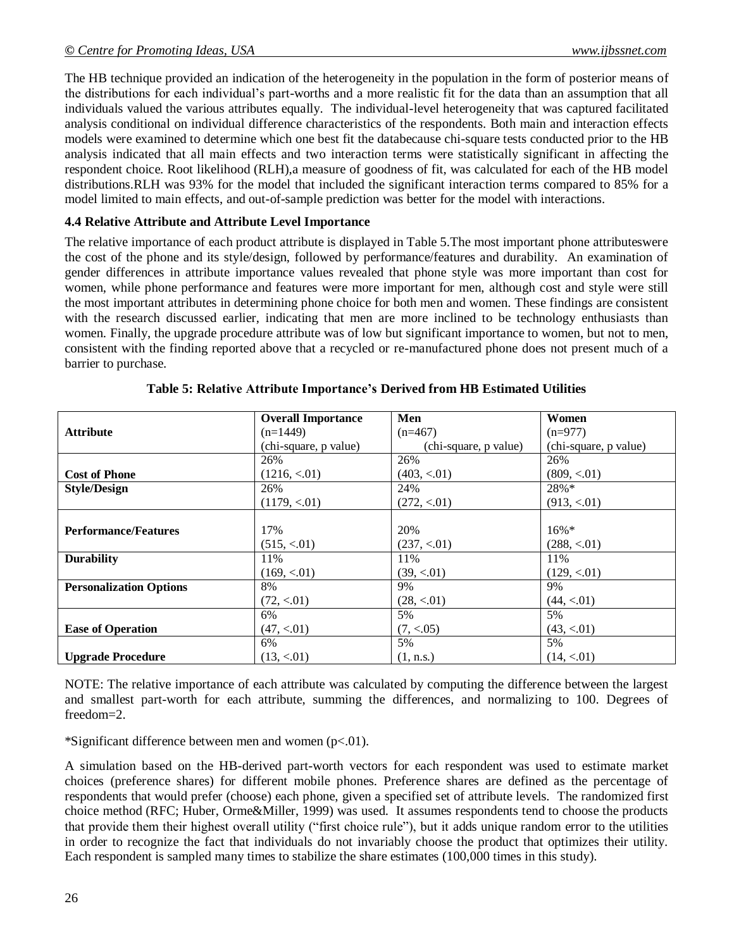The HB technique provided an indication of the heterogeneity in the population in the form of posterior means of the distributions for each individual's part-worths and a more realistic fit for the data than an assumption that all individuals valued the various attributes equally. The individual-level heterogeneity that was captured facilitated analysis conditional on individual difference characteristics of the respondents. Both main and interaction effects models were examined to determine which one best fit the databecause chi-square tests conducted prior to the HB analysis indicated that all main effects and two interaction terms were statistically significant in affecting the respondent choice. Root likelihood (RLH),a measure of goodness of fit, was calculated for each of the HB model distributions.RLH was 93% for the model that included the significant interaction terms compared to 85% for a model limited to main effects, and out-of-sample prediction was better for the model with interactions.

#### **4.4 Relative Attribute and Attribute Level Importance**

The relative importance of each product attribute is displayed in Table 5.The most important phone attributeswere the cost of the phone and its style/design, followed by performance/features and durability. An examination of gender differences in attribute importance values revealed that phone style was more important than cost for women, while phone performance and features were more important for men, although cost and style were still the most important attributes in determining phone choice for both men and women. These findings are consistent with the research discussed earlier, indicating that men are more inclined to be technology enthusiasts than women. Finally, the upgrade procedure attribute was of low but significant importance to women, but not to men, consistent with the finding reported above that a recycled or re-manufactured phone does not present much of a barrier to purchase.

|                                | <b>Overall Importance</b> | Men                   | Women                 |
|--------------------------------|---------------------------|-----------------------|-----------------------|
|                                |                           |                       |                       |
| <b>Attribute</b>               | $(n=1449)$                | $(n=467)$             | $(n=977)$             |
|                                | (chi-square, p value)     | (chi-square, p value) | (chi-square, p value) |
|                                | 26%                       | 26%                   | 26%                   |
| <b>Cost of Phone</b>           | (1216, < 01)              | (403, < 01)           | (809, < 01)           |
| <b>Style/Design</b>            | 26%                       | 24%                   | $28%*$                |
|                                | (1179, < 01)              | (272, < 01)           | (913, < 01)           |
|                                |                           |                       |                       |
| <b>Performance/Features</b>    | 17%                       | 20%                   | $16\%*$               |
|                                | (515, < 01)               | (237, < 01)           | (288, < 01)           |
| <b>Durability</b>              | 11%                       | 11%                   | 11%                   |
|                                | (169, < 01)               | (39, < 01)            | (129, < 01)           |
| <b>Personalization Options</b> | 8%                        | 9%                    | 9%                    |
|                                | (72, < 01)                | (28, < 01)            | (44, < 01)            |
|                                | 6%                        | 5%                    | 5%                    |
| <b>Ease of Operation</b>       | (47, < 01)                | (7, < .05)            | (43, < 01)            |
|                                | 6%                        | 5%                    | 5%                    |
| <b>Upgrade Procedure</b>       | (13, < 01)                | (1, n.s.)             | (14, < 01)            |

**Table 5: Relative Attribute Importance's Derived from HB Estimated Utilities**

NOTE: The relative importance of each attribute was calculated by computing the difference between the largest and smallest part-worth for each attribute, summing the differences, and normalizing to 100. Degrees of freedom=2.

\*Significant difference between men and women (p<.01).

A simulation based on the HB-derived part-worth vectors for each respondent was used to estimate market choices (preference shares) for different mobile phones. Preference shares are defined as the percentage of respondents that would prefer (choose) each phone, given a specified set of attribute levels. The randomized first choice method (RFC; Huber, Orme&Miller, 1999) was used. It assumes respondents tend to choose the products that provide them their highest overall utility ("first choice rule"), but it adds unique random error to the utilities in order to recognize the fact that individuals do not invariably choose the product that optimizes their utility. Each respondent is sampled many times to stabilize the share estimates (100,000 times in this study).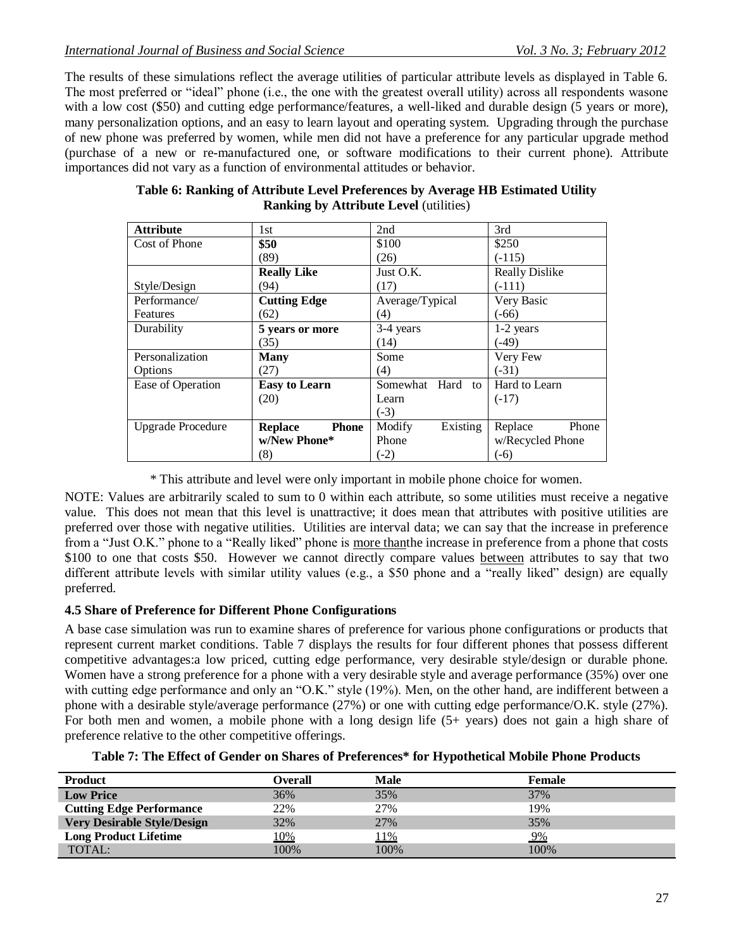The results of these simulations reflect the average utilities of particular attribute levels as displayed in Table 6. The most preferred or "ideal" phone (i.e., the one with the greatest overall utility) across all respondents wasone with a low cost (\$50) and cutting edge performance/features, a well-liked and durable design (5 years or more), many personalization options, and an easy to learn layout and operating system. Upgrading through the purchase of new phone was preferred by women, while men did not have a preference for any particular upgrade method (purchase of a new or re-manufactured one, or software modifications to their current phone). Attribute importances did not vary as a function of environmental attitudes or behavior.

| <b>Attribute</b>         | 1st                            | 2nd                 | 3rd                   |
|--------------------------|--------------------------------|---------------------|-----------------------|
| Cost of Phone            | \$50                           | \$100               | \$250                 |
|                          | (89)                           | (26)                | $(-115)$              |
|                          | <b>Really Like</b>             | Just O.K.           | <b>Really Dislike</b> |
| Style/Design             | (94)                           | (17)                | $(-111)$              |
| Performance/             | <b>Cutting Edge</b>            | Average/Typical     | Very Basic            |
| Features                 | (62)                           | (4)                 | $(-66)$               |
| Durability               | 5 years or more                | 3-4 years           | $1-2$ years           |
|                          | (35)                           | (14)                | $(-49)$               |
| Personalization          | <b>Many</b>                    | Some                | Very Few              |
| Options                  | (27)                           | (4)                 | $(-31)$               |
| Ease of Operation        | <b>Easy to Learn</b>           | Somewhat Hard<br>to | Hard to Learn         |
|                          | (20)                           | Learn               | $(-17)$               |
|                          |                                | $(-3)$              |                       |
| <b>Upgrade Procedure</b> | <b>Phone</b><br><b>Replace</b> | Existing<br>Modify  | Replace<br>Phone      |
|                          | w/New Phone*                   | Phone               | w/Recycled Phone      |
|                          | (8)                            | $(-2)$              | $(-6)$                |

#### **Table 6: Ranking of Attribute Level Preferences by Average HB Estimated Utility Ranking by Attribute Level** (utilities)

\* This attribute and level were only important in mobile phone choice for women.

NOTE: Values are arbitrarily scaled to sum to 0 within each attribute, so some utilities must receive a negative value. This does not mean that this level is unattractive; it does mean that attributes with positive utilities are preferred over those with negative utilities. Utilities are interval data; we can say that the increase in preference from a "Just O.K." phone to a "Really liked" phone is more thanthe increase in preference from a phone that costs \$100 to one that costs \$50. However we cannot directly compare values between attributes to say that two different attribute levels with similar utility values (e.g., a \$50 phone and a "really liked" design) are equally preferred.

## **4.5 Share of Preference for Different Phone Configurations**

A base case simulation was run to examine shares of preference for various phone configurations or products that represent current market conditions. Table 7 displays the results for four different phones that possess different competitive advantages:a low priced, cutting edge performance, very desirable style/design or durable phone. Women have a strong preference for a phone with a very desirable style and average performance (35%) over one with cutting edge performance and only an "O.K." style (19%). Men, on the other hand, are indifferent between a phone with a desirable style/average performance (27%) or one with cutting edge performance/O.K. style (27%). For both men and women, a mobile phone with a long design life (5+ years) does not gain a high share of preference relative to the other competitive offerings.

| Table 7: The Effect of Gender on Shares of Preferences* for Hypothetical Mobile Phone Products |  |
|------------------------------------------------------------------------------------------------|--|
|------------------------------------------------------------------------------------------------|--|

| <b>Product</b>                     | <b>Overall</b> | <b>Male</b> | Female |
|------------------------------------|----------------|-------------|--------|
| <b>Low Price</b>                   | 36%            | 35%         | 37%    |
| <b>Cutting Edge Performance</b>    | 22%            | 27%         | 19%    |
| <b>Very Desirable Style/Design</b> | 32%            | 27%         | 35%    |
| <b>Long Product Lifetime</b>       | 10%            | 11%         | $9\%$  |
| TOTAL:                             | 100%           | 100%        | 100%   |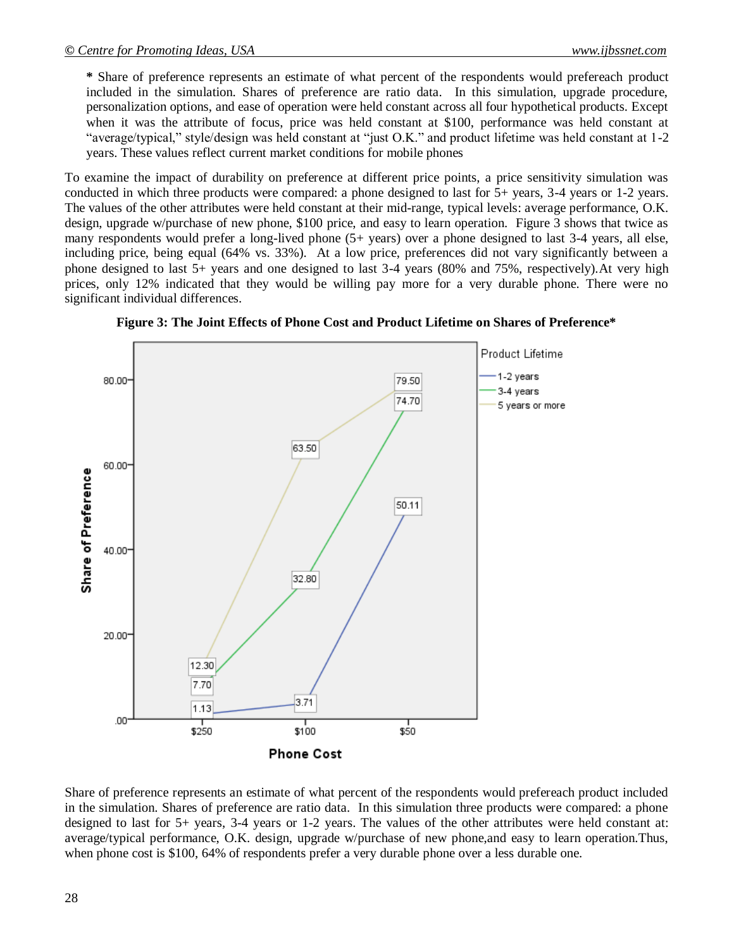**\*** Share of preference represents an estimate of what percent of the respondents would prefereach product included in the simulation. Shares of preference are ratio data. In this simulation, upgrade procedure, personalization options, and ease of operation were held constant across all four hypothetical products. Except when it was the attribute of focus, price was held constant at \$100, performance was held constant at "average/typical," style/design was held constant at "just O.K." and product lifetime was held constant at 1-2 years. These values reflect current market conditions for mobile phones

To examine the impact of durability on preference at different price points, a price sensitivity simulation was conducted in which three products were compared: a phone designed to last for 5+ years, 3-4 years or 1-2 years. The values of the other attributes were held constant at their mid-range, typical levels: average performance, O.K. design, upgrade w/purchase of new phone, \$100 price, and easy to learn operation. Figure 3 shows that twice as many respondents would prefer a long-lived phone (5+ years) over a phone designed to last 3-4 years, all else, including price, being equal (64% vs. 33%). At a low price, preferences did not vary significantly between a phone designed to last 5+ years and one designed to last 3-4 years (80% and 75%, respectively).At very high prices, only 12% indicated that they would be willing pay more for a very durable phone. There were no significant individual differences.



**Figure 3: The Joint Effects of Phone Cost and Product Lifetime on Shares of Preference\***

Share of preference represents an estimate of what percent of the respondents would prefereach product included in the simulation. Shares of preference are ratio data. In this simulation three products were compared: a phone designed to last for 5+ years, 3-4 years or 1-2 years. The values of the other attributes were held constant at: average/typical performance, O.K. design, upgrade w/purchase of new phone,and easy to learn operation.Thus, when phone cost is \$100, 64% of respondents prefer a very durable phone over a less durable one.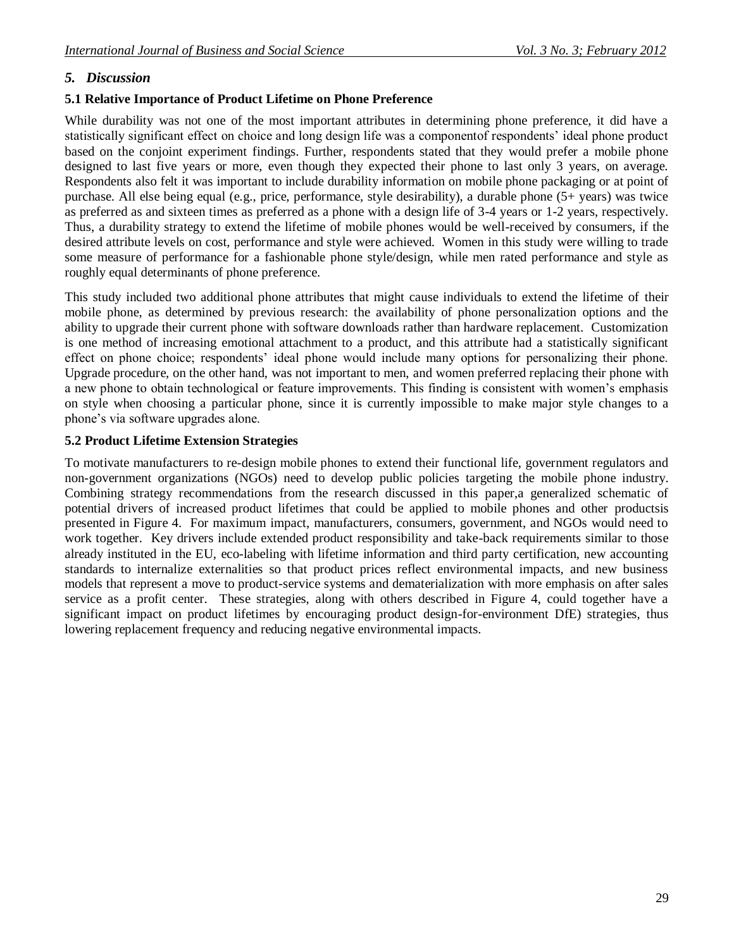#### *5. Discussion*

#### **5.1 Relative Importance of Product Lifetime on Phone Preference**

While durability was not one of the most important attributes in determining phone preference, it did have a statistically significant effect on choice and long design life was a componentof respondents' ideal phone product based on the conjoint experiment findings. Further, respondents stated that they would prefer a mobile phone designed to last five years or more, even though they expected their phone to last only 3 years, on average. Respondents also felt it was important to include durability information on mobile phone packaging or at point of purchase. All else being equal (e.g., price, performance, style desirability), a durable phone (5+ years) was twice as preferred as and sixteen times as preferred as a phone with a design life of 3-4 years or 1-2 years, respectively. Thus, a durability strategy to extend the lifetime of mobile phones would be well-received by consumers, if the desired attribute levels on cost, performance and style were achieved. Women in this study were willing to trade some measure of performance for a fashionable phone style/design, while men rated performance and style as roughly equal determinants of phone preference.

This study included two additional phone attributes that might cause individuals to extend the lifetime of their mobile phone, as determined by previous research: the availability of phone personalization options and the ability to upgrade their current phone with software downloads rather than hardware replacement. Customization is one method of increasing emotional attachment to a product, and this attribute had a statistically significant effect on phone choice; respondents' ideal phone would include many options for personalizing their phone. Upgrade procedure, on the other hand, was not important to men, and women preferred replacing their phone with a new phone to obtain technological or feature improvements. This finding is consistent with women's emphasis on style when choosing a particular phone, since it is currently impossible to make major style changes to a phone's via software upgrades alone.

#### **5.2 Product Lifetime Extension Strategies**

To motivate manufacturers to re-design mobile phones to extend their functional life, government regulators and non-government organizations (NGOs) need to develop public policies targeting the mobile phone industry. Combining strategy recommendations from the research discussed in this paper,a generalized schematic of potential drivers of increased product lifetimes that could be applied to mobile phones and other productsis presented in Figure 4. For maximum impact, manufacturers, consumers, government, and NGOs would need to work together. Key drivers include extended product responsibility and take-back requirements similar to those already instituted in the EU, eco-labeling with lifetime information and third party certification, new accounting standards to internalize externalities so that product prices reflect environmental impacts, and new business models that represent a move to product-service systems and dematerialization with more emphasis on after sales service as a profit center. These strategies, along with others described in Figure 4, could together have a significant impact on product lifetimes by encouraging product design-for-environment DfE) strategies, thus lowering replacement frequency and reducing negative environmental impacts.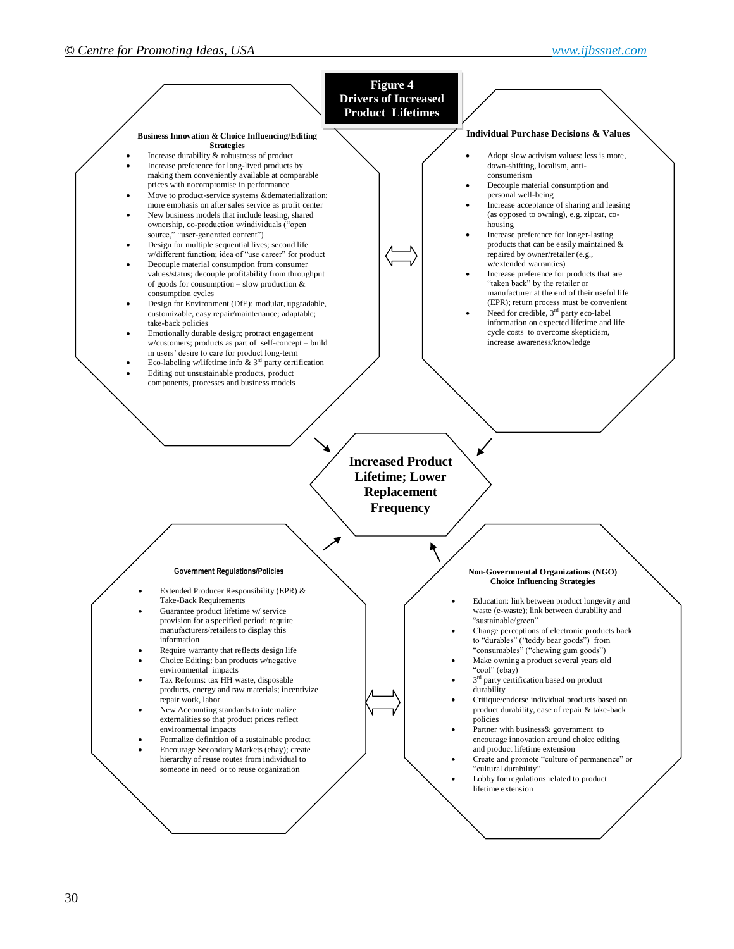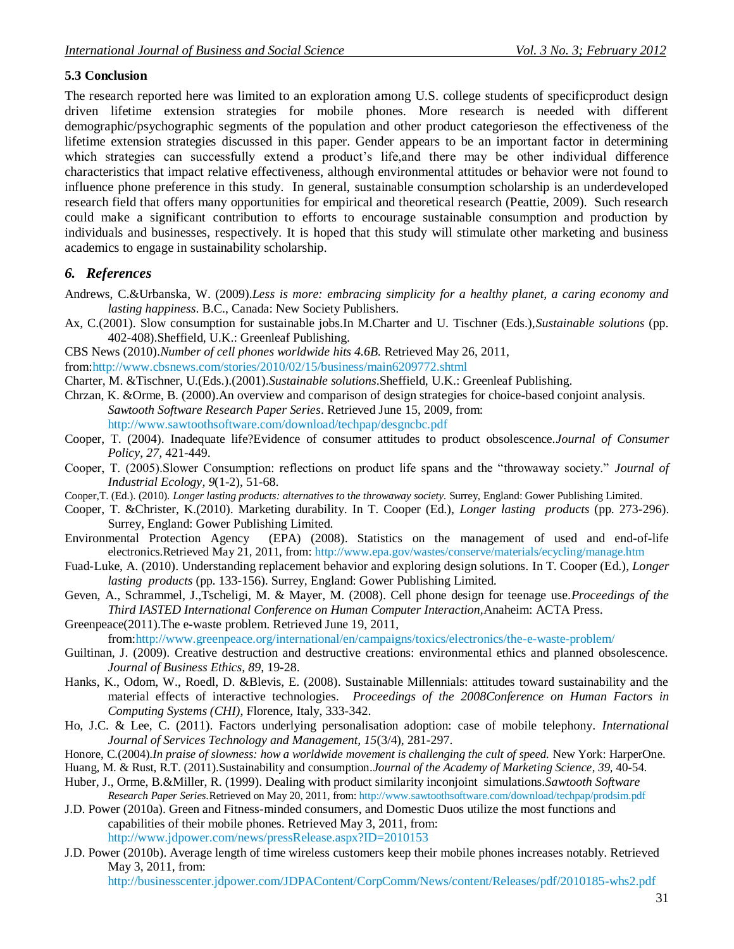## **5.3 Conclusion**

The research reported here was limited to an exploration among U.S. college students of specificproduct design driven lifetime extension strategies for mobile phones. More research is needed with different demographic/psychographic segments of the population and other product categorieson the effectiveness of the lifetime extension strategies discussed in this paper. Gender appears to be an important factor in determining which strategies can successfully extend a product's life,and there may be other individual difference characteristics that impact relative effectiveness, although environmental attitudes or behavior were not found to influence phone preference in this study. In general, sustainable consumption scholarship is an underdeveloped research field that offers many opportunities for empirical and theoretical research (Peattie, 2009). Such research could make a significant contribution to efforts to encourage sustainable consumption and production by individuals and businesses, respectively. It is hoped that this study will stimulate other marketing and business academics to engage in sustainability scholarship.

## *6. References*

- Andrews, C.&Urbanska, W. (2009).*Less is more: embracing simplicity for a healthy planet, a caring economy and lasting happiness*. B.C., Canada: New Society Publishers.
- Ax, C.(2001). Slow consumption for sustainable jobs.In M.Charter and U. Tischner (Eds.),*Sustainable solutions* (pp. 402-408).Sheffield, U.K.: Greenleaf Publishing.
- CBS News (2010).*Number of cell phones worldwide hits 4.6B.* Retrieved May 26, 2011,

from[:http://www.cbsnews.com/stories/2010/02/15/business/main6209772.shtml](http://www.cbsnews.com/stories/2010/02/15/business/main6209772.shtml)

- Charter, M. &Tischner, U.(Eds.).(2001).*Sustainable solutions*.Sheffield, U.K.: Greenleaf Publishing.
- Chrzan, K. &Orme, B. (2000).An overview and comparison of design strategies for choice-based conjoint analysis. *Sawtooth Software Research Paper Series*. Retrieved June 15, 2009, from: <http://www.sawtoothsoftware.com/download/techpap/desgncbc.pdf>
- Cooper, T. (2004). Inadequate life?Evidence of consumer attitudes to product obsolescence.*Journal of Consumer Policy*, *27,* 421-449.
- Cooper, T. (2005).Slower Consumption: reflections on product life spans and the "throwaway society." *Journal of Industrial Ecology, 9*(1-2), 51-68.
- Cooper,T. (Ed.). (2010). *Longer lasting products: alternatives to* t*he throwaway society.* Surrey, England: Gower Publishing Limited.
- Cooper, T. &Christer, K.(2010). Marketing durability. In T. Cooper (Ed.), *Longer lasting products* (pp. 273-296). Surrey, England: Gower Publishing Limited.
- Environmental Protection Agency (EPA) (2008). Statistics on the management of used and end-of-life electronics.Retrieved May 21, 2011, from[: http://www.epa.gov/wastes/conserve/materials/ecycling/manage.htm](http://www.epa.gov/wastes/conserve/materials/ecycling/manage.htm)
- Fuad-Luke, A. (2010). Understanding replacement behavior and exploring design solutions. In T. Cooper (Ed.), *Longer lasting products* (pp. 133-156). Surrey, England: Gower Publishing Limited.
- Geven, A., Schrammel, J.,Tscheligi, M. & Mayer, M. (2008). Cell phone design for teenage use.*Proceedings of the Third IASTED International Conference on Human Computer Interaction,*Anaheim: ACTA Press.
- Greenpeace(2011).The e-waste problem. Retrieved June 19, 2011,

from[:http://www.greenpeace.org/international/en/campaigns/toxics/electronics/the-e-waste-problem/](http://www.greenpeace.org/international/en/campaigns/toxics/electronics/the-e-waste-problem/)

- Guiltinan, J. (2009). Creative destruction and destructive creations: environmental ethics and planned obsolescence. *Journal of Business Ethics, 89*, 19-28.
- Hanks, K., Odom, W., Roedl, D. &Blevis, E. (2008). Sustainable Millennials: attitudes toward sustainability and the material effects of interactive technologies. *Proceedings of the 2008Conference on Human Factors in Computing Systems (CHI)*, Florence, Italy, 333-342.
- Ho, J.C. & Lee, C. (2011). Factors underlying personalisation adoption: case of mobile telephony. *International Journal of Services Technology and Management, 15*(3/4), 281-297.
- Honore, C.(2004).*In praise of slowness: how a worldwide movement is challenging the cult of speed.* New York: HarperOne.
- Huang, M. & Rust, R.T. (2011).Sustainability and consumption.*Journal of the Academy of Marketing Science*, *39,* 40-54.
- Huber, J., Orme, B.&Miller, R. (1999). Dealing with product similarity inconjoint simulations.*Sawtooth Software Research Paper Series.*Retrieved on May 20, 2011, from: <http://www.sawtoothsoftware.com/download/techpap/prodsim.pdf>
- J.D. Power (2010a). Green and Fitness-minded consumers, and Domestic Duos utilize the most functions and capabilities of their mobile phones. Retrieved May 3, 2011, from: <http://www.jdpower.com/news/pressRelease.aspx?ID=2010153>
- J.D. Power (2010b). Average length of time wireless customers keep their mobile phones increases notably. Retrieved May 3, 2011, from:

<http://businesscenter.jdpower.com/JDPAContent/CorpComm/News/content/Releases/pdf/2010185-whs2.pdf>